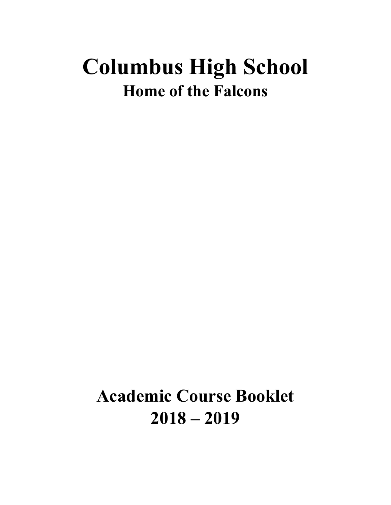# **Columbus High School Home of the Falcons**

**Academic Course Booklet 2018 – 2019**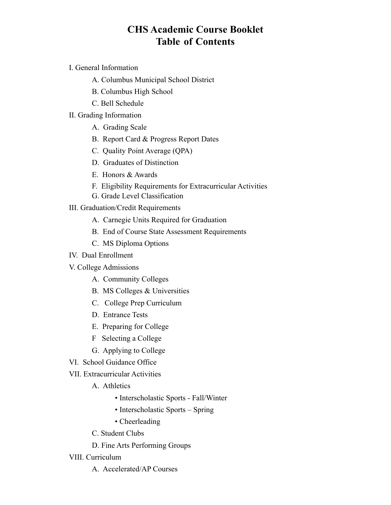# **CHS Academic Course Booklet Table of Contents**

- I. General Information
	- A. Columbus Municipal School District
	- B. Columbus High School
	- C. Bell Schedule

#### II. Grading Information

- A. Grading Scale
- B. Report Card & Progress Report Dates
- C. Quality Point Average (QPA)
- D. Graduates of Distinction
- E. Honors & Awards
- F. Eligibility Requirements for Extracurricular Activities
- G. Grade Level Classification
- III. Graduation/Credit Requirements
	- A. Carnegie Units Required for Graduation
	- B. End of Course State Assessment Requirements
	- C. MS Diploma Options
- IV. Dual Enrollment
- V. College Admissions
	- A. Community Colleges
	- B. MS Colleges & Universities
	- C. College Prep Curriculum
	- D. Entrance Tests
	- E. Preparing for College
	- F Selecting a College
	- G. Applying to College
- VI. School Guidance Office
- VII. Extracurricular Activities
	- A. Athletics
		- Interscholastic Sports Fall/Winter
		- Interscholastic Sports Spring
		- Cheerleading
	- C. Student Clubs
	- D. Fine Arts Performing Groups
- VIII. Curriculum
	- A. Accelerated/AP Courses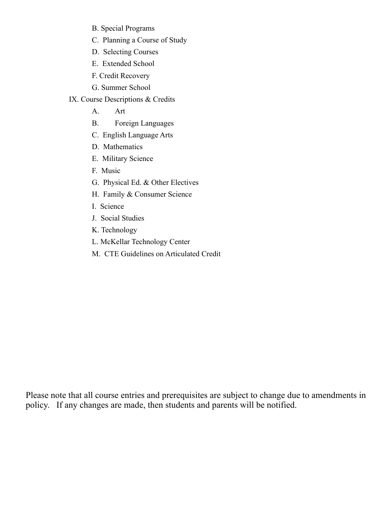- B. Special Programs
- C. Planning a Course of Study
- D. Selecting Courses
- E. Extended School
- F. Credit Recovery
- G. Summer School
- IX. Course Descriptions & Credits
	- A. Art
	- B. Foreign Languages
	- C. English Language Arts
	- D. Mathematics
	- E. Military Science
	- F. Music
	- G. Physical Ed. & Other Electives
	- H. Family & Consumer Science
	- I. Science
	- J. Social Studies
	- K. Technology
	- L. McKellar Technology Center
	- M. CTE Guidelines on Articulated Credit

Please note that all course entries and prerequisites are subject to change due to amendments in policy. If any changes are made, then students and parents will be notified.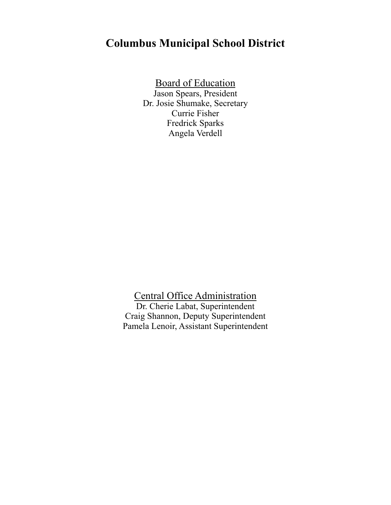# **Columbus Municipal School District**

Board of Education

Jason Spears, President Dr. Josie Shumake, Secretary Currie Fisher Fredrick Sparks Angela Verdell

Central Office Administration Dr. Cherie Labat, Superintendent Craig Shannon, Deputy Superintendent Pamela Lenoir, Assistant Superintendent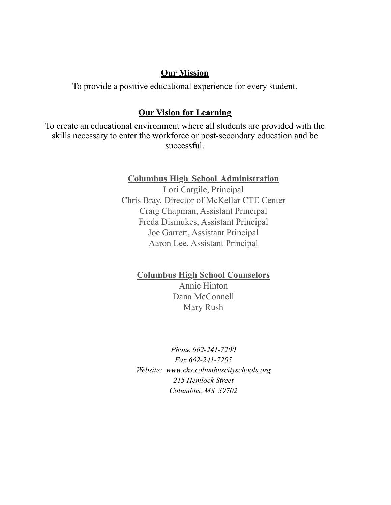# **Our Mission**

To provide a positive educational experience for every student.

# **Our Vision for Learning**

To create an educational environment where all students are provided with the skills necessary to enter the workforce or post-secondary education and be successful.

# **Columbus High School Administration**

Lori Cargile, Principal Chris Bray, Director of McKellar CTE Center Craig Chapman, Assistant Principal Freda Dismukes, Assistant Principal Joe Garrett, Assistant Principal Aaron Lee, Assistant Principal

# **Columbus High School Counselors**

Annie Hinton Dana McConnell Mary Rush

*Phone 662-241-7200 Fax 662-241-7205 Website: [www.chs.columbuscityschools.org](http://www.chs.columbuscityschools.org) 215 Hemlock Street Columbus, MS 39702*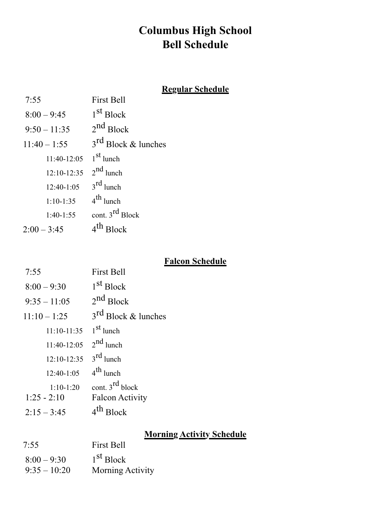# **Columbus High School Bell Schedule**

# **Regular Schedule**

| 7:55           | <b>First Bell</b>        |
|----------------|--------------------------|
| $8:00 - 9:45$  | 1 <sup>st</sup> Block    |
| $9:50 - 11:35$ | $2^{nd}$ Block           |
| $11:40 - 1:55$ | $3^{rd}$ Block & lunches |
| $11:40-12:05$  | $1st$ lunch              |
| $12:10-12:35$  | $2^{nd}$ lunch           |
| $12:40-1:05$   | $3^{\text{rd}}$ lunch    |
| $1:10-1:35$    | $4^{th}$ lunch           |
| $1:40-1:55$    | cont. $3^{rd}$ Block     |
| $2:00 - 3:45$  | 4 <sup>th</sup> Block    |

# **Falcon Schedule**

| 7:55                       | <b>First Bell</b>        |
|----------------------------|--------------------------|
| $8:00 - 9:30$              | 1 <sup>st</sup> Block    |
| $9:35 - 11:05$             | $2^{nd}$ Block           |
| $11:10 - 1:25$             | $3^{rd}$ Block & lunches |
| $11:10-11:35$              | $1st$ lunch              |
| 11:40-12:05 $2^{nd}$ lunch |                          |
| $12:10-12:35$              | $3^{\text{rd}}$ lunch    |
| $12:40-1:05$               | $4^{\text{th}}$ lunch    |
| $1:10-1:20$                | cont. $3^{rd}$ block     |
| $1:25 - 2:10$              | <b>Falcon Activity</b>   |
| $2:15 - 3:45$              | 10c <sub>k</sub>         |
|                            |                          |

# **Morning Activity Schedule**

| 7:55           | <b>First Bell</b>     |  |  |
|----------------|-----------------------|--|--|
| $8:00 - 9:30$  | 1 <sup>st</sup> Block |  |  |
| $9:35 - 10:20$ | Morning Activity      |  |  |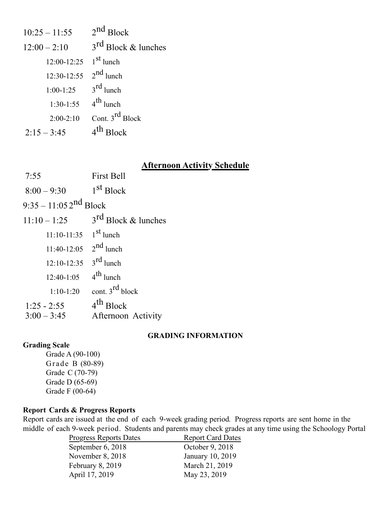| $10:25 - 11:55$ | $2^{nd}$ Block           |
|-----------------|--------------------------|
| $12:00 - 2:10$  | $3^{rd}$ Block & lunches |
| $12:00 - 12:25$ | $1st$ lunch              |
| $12:30-12:55$   | $2^{nd}$ lunch           |
| $1:00-1:25$     | $3^{\text{rd}}$ lunch    |
| $1:30-1:55$     | $4^{\text{th}}$ lunch    |
| $2:00-2:10$     | Cont. $3^{rd}$ Block     |
| $2:15 - 3:45$   | 4 <sup>th</sup> Block    |

#### **Afternoon Activity Schedule**

- 7:55 First Bell  $8:00 - 9:30$  1st Block
- 

 $9:35 - 11:052^{nd}$  Block

 $11:10-1:25$  3<sup>rd</sup> Block & lunches 11:10-11:35  $1^{\text{st}}$  lunch 11:40-12:05  $2^{nd}$  lunch 12:10-12:35  $3^{\text{rd}}$  lunch  $12:40-1:05$  4<sup>th</sup> lunch 1:10-1:20 cont.  $3^{\text{rd}}$  block 1:25 - 2:55  $4^{th}$  Block 3:00 – 3:45 Afternoon Activity

#### **GRADING INFORMATION**

#### **Grading Scale**

Grade A (90-100) Grade B (80-89) Grade C (70-79) Grade D (65-69) Grade F (00-64)

#### **Report Cards & Progress Reports**

Report cards are issued at the end of each 9-week grading period. Progress reports are sent home in the middle of each 9-week period. Students and parents may check grades at any time using the Schoology Portal

| <b>Report Card Dates</b> |
|--------------------------|
| October 9, 2018          |
| January 10, 2019         |
| March 21, 2019           |
| May 23, 2019             |
|                          |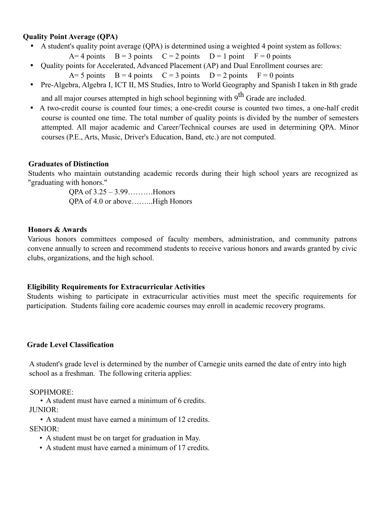#### **Quality Point Average (QPA)**

- A student's quality point average (QPA) is determined using a weighted 4 point system as follows:
	- $A=4$  points  $B=3$  points  $C=2$  points  $D=1$  point  $F=0$  points
- Quality points for Accelerated, Advanced Placement (AP) and Dual Enrollment courses are:
	- $A= 5$  points  $B = 4$  points  $C = 3$  points  $D = 2$  points  $F = 0$  points
- Pre-Algebra, Algebra I, ICT II, MS Studies, Intro to World Geography and Spanish I taken in 8th grade and all major courses attempted in high school beginning with  $9<sup>th</sup>$  Grade are included.
	-
- A two-credit course is counted four times; a one-credit course is counted two times, a one-half credit course is counted one time. The total number of quality points is divided by the number of semesters attempted. All major academic and Career/Technical courses are used in determining QPA. Minor courses (P.E., Arts, Music, Driver's Education, Band, etc.) are not computed.

#### **Graduates of Distinction**

Students who maintain outstanding academic records during their high school years are recognized as "graduating with honors."

> QPA of 3.25 – 3.99……….Honors QPA of 4.0 or above……...High Honors

#### **Honors & Awards**

Various honors committees composed of faculty members, administration, and community patrons convene annually to screen and recommend students to receive various honors and awards granted by civic clubs, organizations, and the high school.

#### **Eligibility Requirements for Extracurricular Activities**

Students wishing to participate in extracurricular activities must meet the specific requirements for participation. Students failing core academic courses may enroll in academic recovery programs.

#### **Grade Level Classification**

A student's grade level is determined by the number of Carnegie units earned the date of entry into high school as a freshman. The following criteria applies:

#### SOPHMORE:

• A student must have earned a minimum of 6 credits. JUNIOR:

• A student must have earned a minimum of 12 credits.

SENIOR:

- A student must be on target for graduation in May.
- A student must have earned a minimum of 17 credits.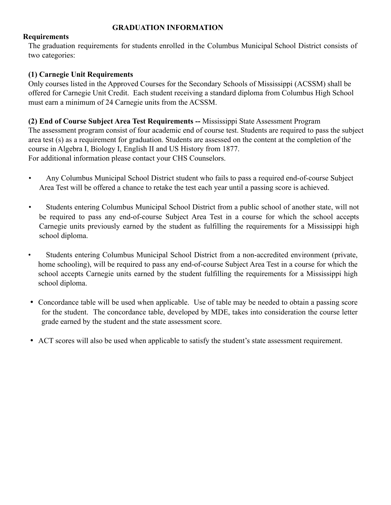#### **GRADUATION INFORMATION**

#### **Requirements**

The graduation requirements for students enrolled in the Columbus Municipal School District consists of two categories:

#### **(1) Carnegie Unit Requirements**

Only courses listed in the Approved Courses for the Secondary Schools of Mississippi (ACSSM) shall be offered for Carnegie Unit Credit. Each student receiving a standard diploma from Columbus High School must earn a minimum of 24 Carnegie units from the ACSSM.

**(2) End of Course Subject Area Test Requirements --** Mississippi State Assessment Program The assessment program consist of four academic end of course test. Students are required to pass the subject area test (s) as a requirement for graduation. Students are assessed on the content at the completion of the course in Algebra I, Biology I, English II and US History from 1877. For additional information please contact your CHS Counselors.

- Any Columbus Municipal School District student who fails to pass a required end-of-course Subject Area Test will be offered a chance to retake the test each year until a passing score is achieved.
- Students entering Columbus Municipal School District from a public school of another state, will not be required to pass any end-of-course Subject Area Test in a course for which the school accepts Carnegie units previously earned by the student as fulfilling the requirements for a Mississippi high school diploma.
- Students entering Columbus Municipal School District from a non-accredited environment (private, home schooling), will be required to pass any end-of-course Subject Area Test in a course for which the school accepts Carnegie units earned by the student fulfilling the requirements for a Mississippi high school diploma.
- Concordance table will be used when applicable. Use of table may be needed to obtain a passing score for the student. The concordance table, developed by MDE, takes into consideration the course letter grade earned by the student and the state assessment score.
- ACT scores will also be used when applicable to satisfy the student's state assessment requirement.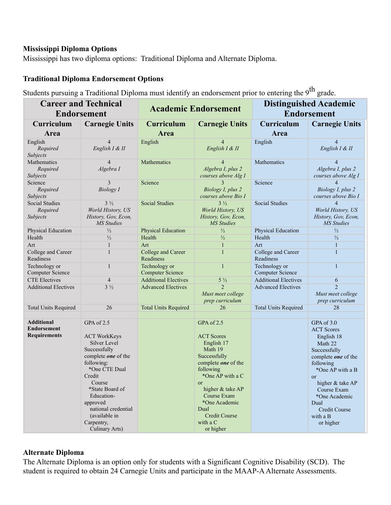#### **Mississippi Diploma Options**

Mississippi has two diploma options: Traditional Diploma and Alternate Diploma.

#### **Traditional Diploma Endorsement Options**

Students pursuing a Traditional Diploma must identify an endorsement prior to entering the 9<sup>th</sup> grade.

| <b>Career and Technical</b><br><b>Endorsement</b>              |                                                                                                                                                                                                                                                                  | <b>Academic Endorsement</b>              |                                                                                                                                                                                                                                                     | <b>Distinguished Academic</b><br><b>Endorsement</b> |                                                                                                                                                                                                                                                                |
|----------------------------------------------------------------|------------------------------------------------------------------------------------------------------------------------------------------------------------------------------------------------------------------------------------------------------------------|------------------------------------------|-----------------------------------------------------------------------------------------------------------------------------------------------------------------------------------------------------------------------------------------------------|-----------------------------------------------------|----------------------------------------------------------------------------------------------------------------------------------------------------------------------------------------------------------------------------------------------------------------|
| Curriculum                                                     | <b>Carnegie Units</b>                                                                                                                                                                                                                                            | <b>Curriculum</b>                        | <b>Carnegie Units</b>                                                                                                                                                                                                                               | Curriculum                                          | <b>Carnegie Units</b>                                                                                                                                                                                                                                          |
| Area                                                           |                                                                                                                                                                                                                                                                  | Area                                     |                                                                                                                                                                                                                                                     | Area                                                |                                                                                                                                                                                                                                                                |
| English<br>Required<br>Subjects                                | $\overline{4}$<br>English I & II                                                                                                                                                                                                                                 | English                                  | $\overline{4}$<br>English I & II                                                                                                                                                                                                                    | English                                             | $\overline{4}$<br>English I & II                                                                                                                                                                                                                               |
| Mathematics<br>Required<br>Subjects                            | $\overline{4}$<br>Algebra I                                                                                                                                                                                                                                      | Mathematics                              | 4<br>Algebra I, plus 2<br>courses above Alg I                                                                                                                                                                                                       | Mathematics                                         | 4<br>Algebra I, plus 2<br>courses above Alg I                                                                                                                                                                                                                  |
| Science<br>Required<br>Subjects                                | 3<br><b>Biology</b> I                                                                                                                                                                                                                                            | Science                                  | 3<br>Biology I, plus 2<br>courses above Bio I                                                                                                                                                                                                       | Science                                             | $\overline{4}$<br>Biology I, plus 2<br>courses above Bio I                                                                                                                                                                                                     |
| Social Studies<br>Required<br>Subjects                         | $3\frac{1}{2}$<br>World History, US<br>History, Gov, Econ,<br><b>MS</b> Studies                                                                                                                                                                                  | <b>Social Studies</b>                    | $3\frac{1}{2}$<br>World History, US<br>History, Gov, Econ,<br><b>MS</b> Studies                                                                                                                                                                     | <b>Social Studies</b>                               | $\overline{4}$<br>World History, US<br>History, Gov, Econ,<br><b>MS</b> Studies                                                                                                                                                                                |
| Physical Education                                             | $\frac{1}{2}$                                                                                                                                                                                                                                                    | <b>Physical Education</b>                | $\frac{1}{2}$                                                                                                                                                                                                                                       | Physical Education                                  | $\frac{1}{2}$                                                                                                                                                                                                                                                  |
| Health                                                         | $\frac{1}{2}$                                                                                                                                                                                                                                                    | Health                                   | $\frac{1}{2}$                                                                                                                                                                                                                                       | Health                                              | $\frac{1}{2}$                                                                                                                                                                                                                                                  |
| Art                                                            | $\mathbf{1}$                                                                                                                                                                                                                                                     | Art                                      | $\mathbf{1}$                                                                                                                                                                                                                                        | Art                                                 | $\mathbf{1}$                                                                                                                                                                                                                                                   |
| College and Career<br>Readiness                                | $\mathbf{1}$                                                                                                                                                                                                                                                     | College and Career<br>Readiness          | $\mathbf{1}$                                                                                                                                                                                                                                        | College and Career<br>Readiness                     | $\mathbf{1}$                                                                                                                                                                                                                                                   |
| Technology or<br><b>Computer Science</b>                       | $\mathbf{1}$                                                                                                                                                                                                                                                     | Technology or<br><b>Computer Science</b> | $\mathbf{1}$                                                                                                                                                                                                                                        | Technology or<br><b>Computer Science</b>            | $\mathbf{1}$                                                                                                                                                                                                                                                   |
| <b>CTE Electives</b>                                           | $\overline{4}$                                                                                                                                                                                                                                                   | <b>Additional Electives</b>              | $5\frac{1}{2}$                                                                                                                                                                                                                                      | <b>Additional Electives</b>                         | 6                                                                                                                                                                                                                                                              |
| <b>Additional Electives</b>                                    | $3\frac{1}{2}$                                                                                                                                                                                                                                                   | <b>Advanced Electives</b>                | $\overline{2}$<br>Must meet college<br>prep curriculum                                                                                                                                                                                              | <b>Advanced Electives</b>                           | $\overline{2}$<br>Must meet college<br>prep curriculum                                                                                                                                                                                                         |
| <b>Total Units Required</b>                                    | 26                                                                                                                                                                                                                                                               | <b>Total Units Required</b>              | 26                                                                                                                                                                                                                                                  | <b>Total Units Required</b>                         | 28                                                                                                                                                                                                                                                             |
| <b>Additional</b><br><b>Endorsement</b><br><b>Requirements</b> | GPA of 2.5<br><b>ACT WorkKeys</b><br>Silver Level<br>Successfully<br>complete one of the<br>following:<br>*One CTE Dual<br>Credit<br>Course<br>*State Board of<br>Education-<br>approved<br>national credential<br>(available in<br>Carpentry,<br>Culinary Arts) |                                          | GPA of 2.5<br><b>ACT Scores</b><br>English 17<br>Math 19<br>Successfully<br>complete one of the<br>following<br>*One AP with a C<br>or<br>higher & take AP<br>Course Exam<br>*One Academic<br>Dual<br><b>Credit Course</b><br>with a C<br>or higher |                                                     | GPA of 3.0<br><b>ACT Scores</b><br>English 18<br>Math 22<br>Successfully<br>complete one of the<br>following<br>*One AP with a B<br><sub>or</sub><br>higher & take AP<br>Course Exam<br>*One Academic<br>Dual<br><b>Credit Course</b><br>with a B<br>or higher |

#### **Alternate Diploma**

The Alternate Diploma is an option only for students with a Significant Cognitive Disability (SCD). The student is required to obtain 24 Carnegie Units and participate in the MAAP-A Alternate Assessments.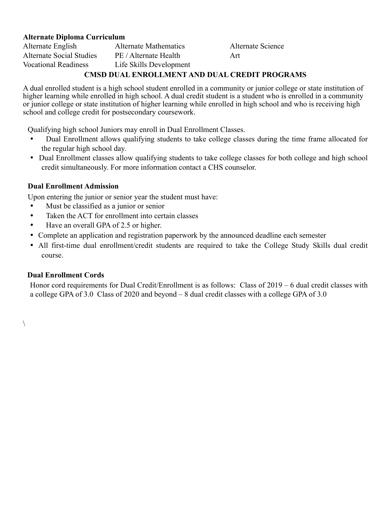#### **Alternate Diploma Curriculum**

Alternate English Alternate Mathematics Alternate Science Alternate Social Studies PE / Alternate Health Art Vocational Readiness Life Skills Development

#### **CMSD DUAL ENROLLMENT AND DUAL CREDIT PROGRAMS**

A dual enrolled student is a high school student enrolled in a community or junior college or state institution of higher learning while enrolled in high school. A dual credit student is a student who is enrolled in a community or junior college or state institution of higher learning while enrolled in high school and who is receiving high school and college credit for postsecondary coursework.

Qualifying high school Juniors may enroll in Dual Enrollment Classes.

- Dual Enrollment allows qualifying students to take college classes during the time frame allocated for the regular high school day.
- Dual Enrollment classes allow qualifying students to take college classes for both college and high school credit simultaneously. For more information contact a CHS counselor.

#### **Dual Enrollment Admission**

Upon entering the junior or senior year the student must have:

- Must be classified as a junior or senior
- Taken the ACT for enrollment into certain classes
- Have an overall GPA of 2.5 or higher.
- Complete an application and registration paperwork by the announced deadline each semester
- All first-time dual enrollment/credit students are required to take the College Study Skills dual credit course.

#### **Dual Enrollment Cords**

 $\setminus$ 

Honor cord requirements for Dual Credit/Enrollment is as follows: Class of 2019 – 6 dual credit classes with a college GPA of 3.0 Class of 2020 and beyond – 8 dual credit classes with a college GPA of 3.0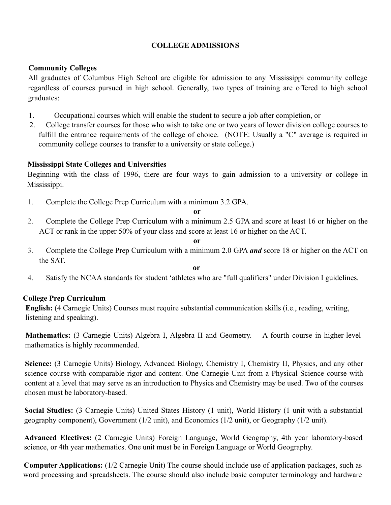#### **COLLEGE ADMISSIONS**

#### **Community Colleges**

All graduates of Columbus High School are eligible for admission to any Mississippi community college regardless of courses pursued in high school. Generally, two types of training are offered to high school graduates:

- 1. Occupational courses which will enable the student to secure a job after completion, or
- 2. College transfer courses for those who wish to take one or two years of lower division college courses to fulfill the entrance requirements of the college of choice. (NOTE: Usually a "C" average is required in community college courses to transfer to a university or state college.)

#### **Mississippi State Colleges and Universities**

Beginning with the class of 1996, there are four ways to gain admission to a university or college in Mississippi.

1. Complete the College Prep Curriculum with a minimum 3.2 GPA.

**or**

2. Complete the College Prep Curriculum with a minimum 2.5 GPA and score at least 16 or higher on the ACT or rank in the upper 50% of your class and score at least 16 or higher on the ACT.

**or**

3. Complete the College Prep Curriculum with a minimum 2.0 GPA *and* score 18 or higher on the ACT on the SAT.

**or**

4. Satisfy the NCAA standards for student 'athletes who are "full qualifiers" under Division I guidelines.

#### **College Prep Curriculum**

**English:** (4 Carnegie Units) Courses must require substantial communication skills (i.e., reading, writing, listening and speaking).

**Mathematics:** (3 Carnegie Units) Algebra I, Algebra II and Geometry. A fourth course in higher-level mathematics is highly recommended.

**Science:** (3 Carnegie Units) Biology, Advanced Biology, Chemistry I, Chemistry II, Physics, and any other science course with comparable rigor and content. One Carnegie Unit from a Physical Science course with content at a level that may serve as an introduction to Physics and Chemistry may be used. Two of the courses chosen must be laboratory-based.

**Social Studies:** (3 Carnegie Units) United States History (1 unit), World History (1 unit with a substantial geography component), Government (1/2 unit), and Economics (1/2 unit), or Geography (1/2 unit).

**Advanced Electives:** (2 Carnegie Units) Foreign Language, World Geography, 4th year laboratory-based science, or 4th year mathematics. One unit must be in Foreign Language or World Geography.

**Computer Applications:** (1/2 Carnegie Unit) The course should include use of application packages, such as word processing and spreadsheets. The course should also include basic computer terminology and hardware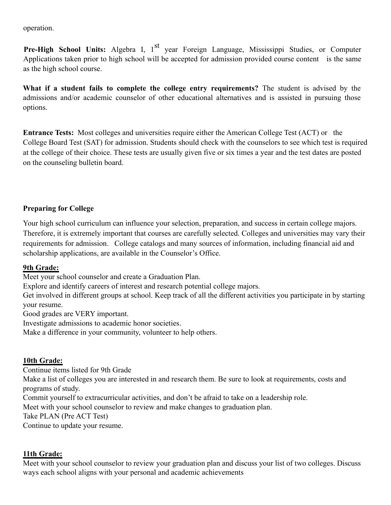operation.

**Pre-High School Units:** Algebra I, 1<sup>st</sup> year Foreign Language, Mississippi Studies, or Computer Applications taken prior to high school will be accepted for admission provided course content is the same as the high school course.

**What if a student fails to complete the college entry requirements?** The student is advised by the admissions and/or academic counselor of other educational alternatives and is assisted in pursuing those options.

**Entrance Tests:** Most colleges and universities require either the American College Test (ACT) or the College Board Test (SAT) for admission. Students should check with the counselors to see which test is required at the college of their choice. These tests are usually given five or six times a year and the test dates are posted on the counseling bulletin board.

#### **Preparing for College**

Your high school curriculum can influence your selection, preparation, and success in certain college majors. Therefore, it is extremely important that courses are carefully selected. Colleges and universities may vary their requirements for admission. College catalogs and many sources of information, including financial aid and scholarship applications, are available in the Counselor's Office.

#### **9th Grade:**

Meet your school counselor and create a Graduation Plan.

Explore and identify careers of interest and research potential college majors.

Get involved in different groups at school. Keep track of all the different activities you participate in by starting your resume.

Good grades are VERY important.

Investigate admissions to academic honor societies.

Make a difference in your community, volunteer to help others.

#### **10th Grade:**

Continue items listed for 9th Grade

Make a list of colleges you are interested in and research them. Be sure to look at requirements, costs and programs of study.

Commit yourself to extracurricular activities, and don't be afraid to take on a leadership role.

Meet with your school counselor to review and make changes to graduation plan.

Take PLAN (Pre ACT Test)

Continue to update your resume.

#### **11th Grade:**

Meet with your school counselor to review your graduation plan and discuss your list of two colleges. Discuss ways each school aligns with your personal and academic achievements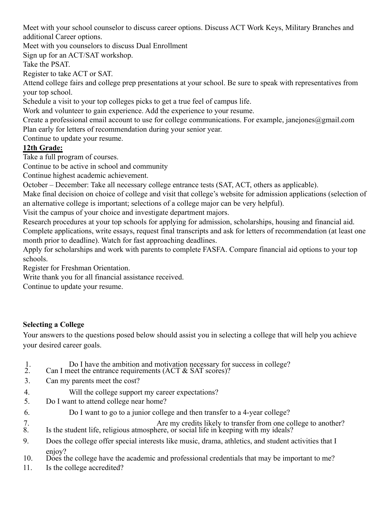Meet with your school counselor to discuss career options. Discuss ACT Work Keys, Military Branches and additional Career options.

Meet with you counselors to discuss Dual Enrollment

Sign up for an ACT/SAT workshop.

Take the PSAT.

Register to take ACT or SAT.

Attend college fairs and college prep presentations at your school. Be sure to speak with representatives from your top school.

Schedule a visit to your top colleges picks to get a true feel of campus life.

Work and volunteer to gain experience. Add the experience to your resume.

Create a professional email account to use for college communications. For example, janejones@gmail.com Plan early for letters of recommendation during your senior year.

Continue to update your resume.

# **12th Grade:**

Take a full program of courses.

Continue to be active in school and community

Continue highest academic achievement.

October – December: Take all necessary college entrance tests (SAT, ACT, others as applicable).

Make final decision on choice of college and visit that college's website for admission applications (selection of an alternative college is important; selections of a college major can be very helpful).

Visit the campus of your choice and investigate department majors.

Research procedures at your top schools for applying for admission, scholarships, housing and financial aid. Complete applications, write essays, request final transcripts and ask for letters of recommendation (at least one month prior to deadline). Watch for fast approaching deadlines.

Apply for scholarships and work with parents to complete FASFA. Compare financial aid options to your top schools.

Register for Freshman Orientation.

Write thank you for all financial assistance received.

Continue to update your resume.

#### **Selecting a College**

Your answers to the questions posed below should assist you in selecting a college that will help you achieve your desired career goals.

- 1. Do I have the ambition and motivation necessary for success in college?
- 2. Can I meet the entrance requirements  $(ACT & SAT scores)$ ?
- 3. Can my parents meet the cost?
- 4. Will the college support my career expectations?
- 5. Do I want to attend college near home?
- 6. Do I want to go to a junior college and then transfer to a 4-year college?

7.<br>
Are my credits likely to transfer from one college to another?<br>
8. Is the student life, religious atmosphere, or social life in keeping with my ideals? Is the student life, religious atmosphere, or social life in keeping with my ideals?

- 9. Does the college offer special interests like music, drama, athletics, and student activities that I
- enjoy?<br>10. Does the college have the academic and professional credentials that may be important to me?
- 11. Is the college accredited?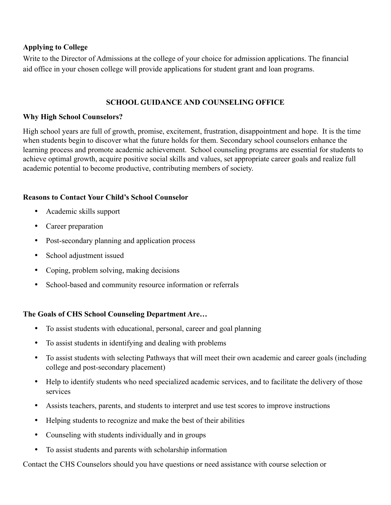#### **Applying to College**

Write to the Director of Admissions at the college of your choice for admission applications. The financial aid office in your chosen college will provide applications for student grant and loan programs.

#### **SCHOOL GUIDANCE AND COUNSELING OFFICE**

#### **Why High School Counselors?**

High school years are full of growth, promise, excitement, frustration, disappointment and hope. It is the time when students begin to discover what the future holds for them. Secondary school counselors enhance the learning process and promote academic achievement. School counseling programs are essential for students to achieve optimal growth, acquire positive social skills and values, set appropriate career goals and realize full academic potential to become productive, contributing members of society.

#### **Reasons to Contact Your Child's School Counselor**

- Academic skills support
- Career preparation
- Post-secondary planning and application process
- School adjustment issued
- Coping, problem solving, making decisions
- School-based and community resource information or referrals

#### **The Goals of CHS School Counseling Department Are…**

- To assist students with educational, personal, career and goal planning
- To assist students in identifying and dealing with problems
- To assist students with selecting Pathways that will meet their own academic and career goals (including college and post-secondary placement)
- Help to identify students who need specialized academic services, and to facilitate the delivery of those services
- Assists teachers, parents, and students to interpret and use test scores to improve instructions
- Helping students to recognize and make the best of their abilities
- Counseling with students individually and in groups
- To assist students and parents with scholarship information

Contact the CHS Counselors should you have questions or need assistance with course selection or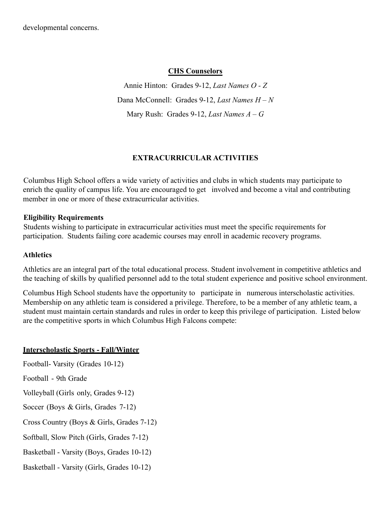#### **CHS Counselors**

Annie Hinton: Grades 9-12, *Last Names O - Z* Dana McConnell: Grades 9-12, *Last Names H – N* Mary Rush: Grades 9-12, *Last Names A – G*

# **EXTRACURRICULAR ACTIVITIES**

Columbus High School offers a wide variety of activities and clubs in which students may participate to enrich the quality of campus life. You are encouraged to get involved and become a vital and contributing member in one or more of these extracurricular activities.

#### **Eligibility Requirements**

Students wishing to participate in extracurricular activities must meet the specific requirements for participation. Students failing core academic courses may enroll in academic recovery programs.

#### **Athletics**

Athletics are an integral part of the total educational process. Student involvement in competitive athletics and the teaching of skills by qualified personnel add to the total student experience and positive school environment.

Columbus High School students have the opportunity to participate in numerous interscholastic activities. Membership on any athletic team is considered a privilege. Therefore, to be a member of any athletic team, a student must maintain certain standards and rules in order to keep this privilege of participation. Listed below are the competitive sports in which Columbus High Falcons compete:

#### **Interscholastic Sports - Fall/Winter**

Football- Varsity (Grades 10-12) Football - 9th Grade Volleyball (Girls only, Grades 9-12) Soccer (Boys & Girls, Grades 7-12) Cross Country (Boys & Girls, Grades 7-12) Softball, Slow Pitch (Girls, Grades 7-12) Basketball - Varsity (Boys, Grades 10-12) Basketball - Varsity (Girls, Grades 10-12)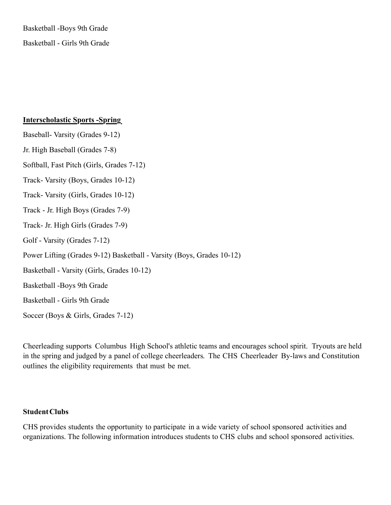Basketball -Boys 9th Grade Basketball - Girls 9th Grade

#### **Interscholastic Sports -Spring**

Baseball- Varsity (Grades 9-12) Jr. High Baseball (Grades 7-8) Softball, Fast Pitch (Girls, Grades 7-12) Track- Varsity (Boys, Grades 10-12) Track- Varsity (Girls, Grades 10-12) Track - Jr. High Boys (Grades 7-9) Track- Jr. High Girls (Grades 7-9) Golf - Varsity (Grades 7-12) Power Lifting (Grades 9-12) Basketball - Varsity (Boys, Grades 10-12) Basketball - Varsity (Girls, Grades 10-12) Basketball -Boys 9th Grade

Basketball - Girls 9th Grade

Soccer (Boys & Girls, Grades 7-12)

Cheerleading supports Columbus High School's athletic teams and encourages school spirit. Tryouts are held in the spring and judged by a panel of college cheerleaders. The CHS Cheerleader By-laws and Constitution outlines the eligibility requirements that must be met.

#### **StudentClubs**

CHS provides students the opportunity to participate in a wide variety of school sponsored activities and organizations. The following information introduces students to CHS clubs and school sponsored activities.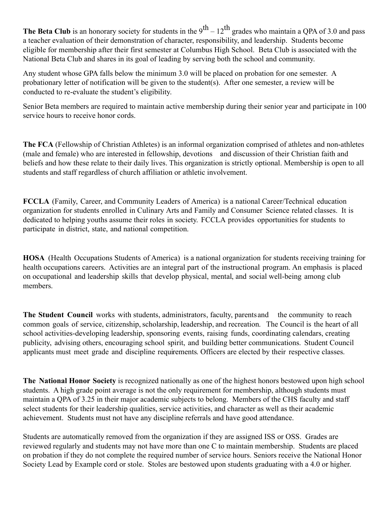**The Beta Club** is an honorary society for students in the  $9^{th} - 12^{th}$  grades who maintain a QPA of 3.0 and pass a teacher evaluation of their demonstration of character, responsibility, and leadership. Students become eligible for membership after their first semester at Columbus High School. Beta Club is associated with the National Beta Club and shares in its goal of leading by serving both the school and community.

Any student whose GPA falls below the minimum 3.0 will be placed on probation for one semester. A probationary letter of notification will be given to the student(s). After one semester, a review will be conducted to re-evaluate the student's eligibility.

Senior Beta members are required to maintain active membership during their senior year and participate in 100 service hours to receive honor cords.

**The FCA** (Fellowship of Christian Athletes) is an informal organization comprised of athletes and non-athletes (male and female) who are interested in fellowship, devotions and discussion of their Christian faith and beliefs and how these relate to their daily lives. This organization is strictly optional. Membership is open to all students and staff regardless of church affiliation or athletic involvement.

**FCCLA** (Family, Career, and Community Leaders of America) is a national Career/Technical education organization for students enrolled in Culinary Arts and Family and Consumer Science related classes. It is dedicated to helping youths assume their roles in society. FCCLA provides opportunities for students to participate in district, state, and national competition.

**HOSA** (Health Occupations Students of America) is a national organization for students receiving training for health occupations careers. Activities are an integral part of the instructional program. An emphasis is placed on occupational and leadership skills that develop physical, mental, and social well-being among club members.

**The Student Council** works with students, administrators, faculty, parentsand the community to reach common goals of service, citizenship, scholarship, leadership, and recreation. The Council is the heart of all school activities-developing leadership, sponsoring events, raising funds, coordinating calendars, creating publicity, advising others, encouraging school spirit, and building better communications. Student Council applicants must meet grade and discipline requirements. Officers are elected by their respective classes.

**The National Honor Society** is recognized nationally as one of the highest honors bestowed upon high school students. A high grade point average is not the only requirement for membership, although students must maintain a QPA of 3.25 in their major academic subjects to belong. Members of the CHS faculty and staff select students for their leadership qualities, service activities, and character as well as their academic achievement. Students must not have any discipline referrals and have good attendance.

Students are automatically removed from the organization if they are assigned ISS or OSS. Grades are reviewed regularly and students may not have more than one C to maintain membership. Students are placed on probation if they do not complete the required number of service hours. Seniors receive the National Honor Society Lead by Example cord or stole. Stoles are bestowed upon students graduating with a 4.0 or higher.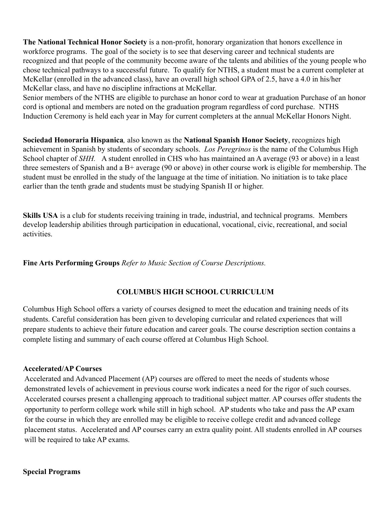**The National Technical Honor Society** is a non-profit, honorary organization that honors excellence in workforce programs. The goal of the society is to see that deserving career and technical students are recognized and that people of the community become aware of the talents and abilities of the young people who chose technical pathways to a successful future. To qualify for NTHS, a student must be a current completer at McKellar (enrolled in the advanced class), have an overall high school GPA of 2.5, have a 4.0 in his/her McKellar class, and have no discipline infractions at McKellar.

Senior members of the NTHS are eligible to purchase an honor cord to wear at graduation Purchase of an honor cord is optional and members are noted on the graduation program regardless of cord purchase. NTHS Induction Ceremony is held each year in May for current completers at the annual McKellar Honors Night.

**Sociedad Honoraria Hispanica***,* also known as the **National Spanish Honor Society**, recognizes high achievement in Spanish by students of secondary schools. *Los Peregrinos* is the name of the Columbus High School chapter of *SHH*. A student enrolled in CHS who has maintained an A average (93 or above) in a least three semesters of Spanish and a B+ average (90 or above) in other course work is eligible for membership. The student must be enrolled in the study of the language at the time of initiation. No initiation is to take place earlier than the tenth grade and students must be studying Spanish II or higher.

**Skills USA** is a club for students receiving training in trade, industrial, and technical programs. Members develop leadership abilities through participation in educational, vocational, civic, recreational, and social activities.

**Fine Arts Performing Groups** *Refer to Music Section of Course Descriptions.*

#### **COLUMBUS HIGH SCHOOL CURRICULUM**

Columbus High School offers a variety of courses designed to meet the education and training needs of its students. Careful consideration has been given to developing curricular and related experiences that will prepare students to achieve their future education and career goals. The course description section contains a complete listing and summary of each course offered at Columbus High School.

#### **Accelerated/AP Courses**

Accelerated and Advanced Placement (AP) courses are offered to meet the needs of students whose demonstrated levels of achievement in previous course work indicates a need for the rigor of such courses. Accelerated courses present a challenging approach to traditional subject matter. AP courses offer students the opportunity to perform college work while still in high school. AP students who take and pass the AP exam for the course in which they are enrolled may be eligible to receive college credit and advanced college placement status. Accelerated and AP courses carry an extra quality point. All students enrolled in AP courses will be required to take AP exams.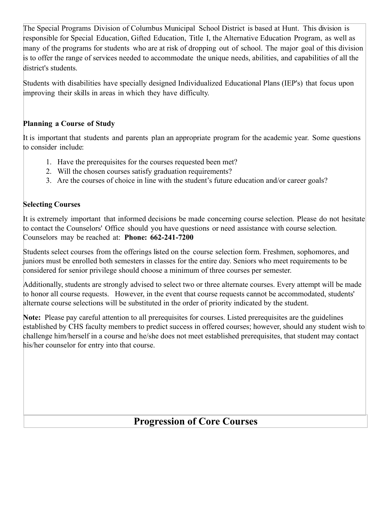The Special Programs Division of Columbus Municipal School District is based at Hunt. This division is responsible for Special Education, Gifted Education, Title I, the Alternative Education Program, as well as many of the programs for students who are at risk of dropping out of school. The major goal of this division is to offer the range of services needed to accommodate the unique needs, abilities, and capabilities of all the district's students.

Students with disabilities have specially designed Individualized Educational Plans (IEP's) that focus upon improving their skills in areas in which they have difficulty.

### **Planning a Course of Study**

It is important that students and parents plan an appropriate program for the academic year. Some questions to consider include:

- 1. Have the prerequisites for the courses requested been met?
- 2. Will the chosen courses satisfy graduation requirements?
- 3. Are the courses of choice in line with the student's future education and/or career goals?

# **Selecting Courses**

It is extremely important that informed decisions be made concerning course selection. Please do not hesitate to contact the Counselors' Office should you have questions or need assistance with course selection. Counselors may be reached at: **Phone: 662-241-7200**

Students select courses from the offerings listed on the course selection form. Freshmen, sophomores, and juniors must be enrolled both semesters in classes for the entire day. Seniors who meet requirements to be considered for senior privilege should choose a minimum of three courses per semester.

Additionally, students are strongly advised to select two or three alternate courses. Every attempt will be made to honor all course requests. However, in the event that course requests cannot be accommodated, students' alternate course selections will be substituted in the order of priority indicated by the student.

**Note:** Please pay careful attention to all prerequisites for courses. Listed prerequisites are the guidelines established by CHS faculty members to predict success in offered courses; however, should any student wish to challenge him/herself in a course and he/she does not meet established prerequisites, that student may contact his/her counselor for entry into that course.

# **Progression of Core Courses**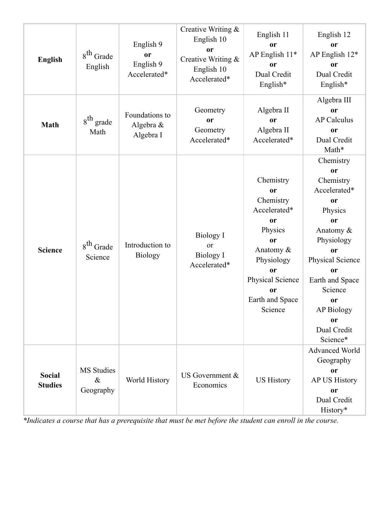| <b>English</b>                  | $8th$ Grade<br>English                 | English 9<br>or<br>English 9<br>Accelerated* | Creative Writing &<br>English 10<br><sub>or</sub><br>Creative Writing &<br>English 10<br>Accelerated* | English 11<br>or<br>AP English 11*<br>or<br>Dual Credit<br>English*                                                                                                     | English 12<br><b>or</b><br>AP English 12*<br>or<br>Dual Credit<br>English*                                                                                                                                                                                  |
|---------------------------------|----------------------------------------|----------------------------------------------|-------------------------------------------------------------------------------------------------------|-------------------------------------------------------------------------------------------------------------------------------------------------------------------------|-------------------------------------------------------------------------------------------------------------------------------------------------------------------------------------------------------------------------------------------------------------|
| <b>Math</b>                     | $8^{th}$ grade<br>Math                 | Foundations to<br>Algebra &<br>Algebra I     | Geometry<br><sub>or</sub><br>Geometry<br>Accelerated*                                                 | Algebra II<br><b>or</b><br>Algebra II<br>Accelerated*                                                                                                                   | Algebra III<br>or<br><b>AP Calculus</b><br>or<br>Dual Credit<br>Math*                                                                                                                                                                                       |
| <b>Science</b>                  | 8 <sup>th</sup> Grade<br>Science       | Introduction to<br><b>Biology</b>            | <b>Biology I</b><br>or<br><b>Biology I</b><br>Accelerated*                                            | Chemistry<br>or<br>Chemistry<br>Accelerated*<br>or<br>Physics<br>or<br>Anatomy &<br>Physiology<br><sub>or</sub><br>Physical Science<br>or<br>Earth and Space<br>Science | Chemistry<br>or<br>Chemistry<br>Accelerated*<br><b>or</b><br>Physics<br><b>or</b><br>Anatomy &<br>Physiology<br><b>or</b><br>Physical Science<br><b>or</b><br>Earth and Space<br>Science<br><b>or</b><br><b>AP Biology</b><br>or<br>Dual Credit<br>Science* |
| <b>Social</b><br><b>Studies</b> | <b>MS</b> Studies<br>$\&$<br>Geography | World History                                | US Government &<br>Economics                                                                          | <b>US History</b>                                                                                                                                                       | Advanced World<br>Geography<br>or<br><b>AP US History</b><br>or<br>Dual Credit<br>History*                                                                                                                                                                  |

*\*Indicates a course that has a prerequisite that must be met before the student can enroll in the course.*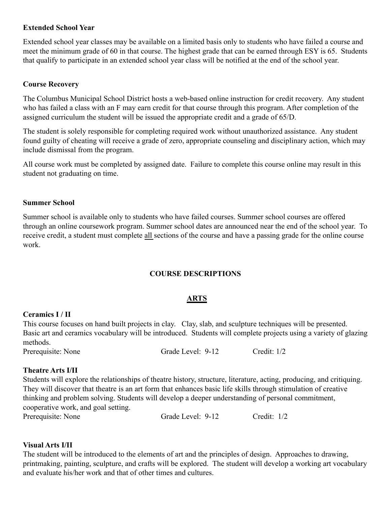#### **Extended School Year**

Extended school year classes may be available on a limited basis only to students who have failed a course and meet the minimum grade of 60 in that course. The highest grade that can be earned through ESY is 65. Students that qualify to participate in an extended school year class will be notified at the end of the school year.

#### **Course Recovery**

The Columbus Municipal School District hosts a web-based online instruction for credit recovery. Any student who has failed a class with an F may earn credit for that course through this program. After completion of the assigned curriculum the student will be issued the appropriate credit and a grade of 65/D.

The student is solely responsible for completing required work without unauthorized assistance. Any student found guilty of cheating will receive a grade of zero, appropriate counseling and disciplinary action, which may include dismissal from the program.

All course work must be completed by assigned date. Failure to complete this course online may result in this student not graduating on time.

#### **Summer School**

Summer school is available only to students who have failed courses. Summer school courses are offered through an online coursework program. Summer school dates are announced near the end of the school year. To receive credit, a student must complete all sections of the course and have a passing grade for the online course work.

#### **COURSE DESCRIPTIONS**

#### **ARTS**

#### **Ceramics I / II**

This course focuses on hand built projects in clay. Clay, slab, and sculpture techniques will be presented. Basic art and ceramics vocabulary will be introduced. Students will complete projects using a variety of glazing methods.

Prerequisite: None Grade Level: 9-12 Credit: 1/2

#### **Theatre Arts I/II**

Students will explore the relationships of theatre history, structure, literature, acting, producing, and critiquing. They will discover that theatre is an art form that enhances basic life skills through stimulation of creative thinking and problem solving. Students will develop a deeper understanding of personal commitment, cooperative work, and goal setting. Prerequisite: None Grade Level: 9-12 Credit: 1/2

**Visual Arts I/II**

The student will be introduced to the elements of art and the principles of design. Approaches to drawing, printmaking, painting, sculpture, and crafts will be explored. The student will develop a working art vocabulary and evaluate his/her work and that of other times and cultures.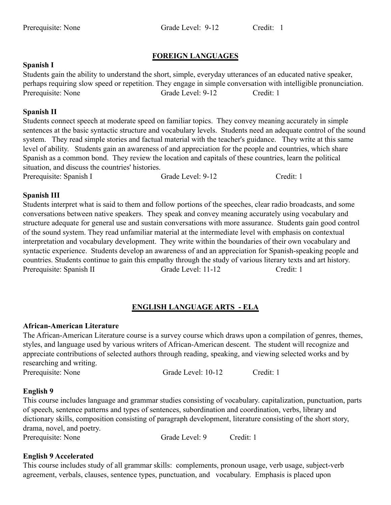Prerequisite: None Grade Level: 9-12 Credit: 1

#### **FOREIGN LANGUAGES**

#### **Spanish I**

Students gain the ability to understand the short, simple, everyday utterances of an educated native speaker, perhaps requiring slow speed or repetition. They engage in simple conversation with intelligible pronunciation. Prerequisite: None Grade Level: 9-12 Credit: 1

#### **Spanish II**

Students connect speech at moderate speed on familiar topics. They convey meaning accurately in simple sentences at the basic syntactic structure and vocabulary levels. Students need an adequate control of the sound system. They read simple stories and factual material with the teacher's guidance. They write at this same level of ability. Students gain an awareness of and appreciation for the people and countries, which share Spanish as a common bond. They review the location and capitals of these countries, learn the political situation, and discuss the countries' histories.

Prerequisite: Spanish I Grade Level: 9-12 Credit: 1

#### **Spanish III**

Students interpret what is said to them and follow portions of the speeches, clear radio broadcasts, and some conversations between native speakers. They speak and convey meaning accurately using vocabulary and structure adequate for general use and sustain conversations with more assurance. Students gain good control of the sound system. They read unfamiliar material at the intermediate level with emphasis on contextual interpretation and vocabulary development. They write within the boundaries of their own vocabulary and syntactic experience. Students develop an awareness of and an appreciation for Spanish-speaking people and countries. Students continue to gain this empathy through the study of various literary texts and art history. Prerequisite: Spanish II Grade Level: 11-12 Credit: 1

# **ENGLISH LANGUAGE ARTS - ELA**

#### **African-American Literature**

The African-American Literature course is a survey course which draws upon a compilation of genres, themes, styles, and language used by various writers of African-American descent. The student will recognize and appreciate contributions of selected authors through reading, speaking, and viewing selected works and by researching and writing.

Prerequisite: None Grade Level: 10-12 Credit: 1

#### **English 9**

This course includes language and grammar studies consisting of vocabulary. capitalization, punctuation, parts of speech, sentence patterns and types of sentences, subordination and coordination, verbs, library and dictionary skills, composition consisting of paragraph development, literature consisting of the short story, drama, novel, and poetry.

Prerequisite: None Grade Level: 9 Credit: 1

#### **English 9 Accelerated**

This course includes study of all grammar skills: complements, pronoun usage, verb usage, subject-verb agreement, verbals, clauses, sentence types, punctuation, and vocabulary. Emphasis is placed upon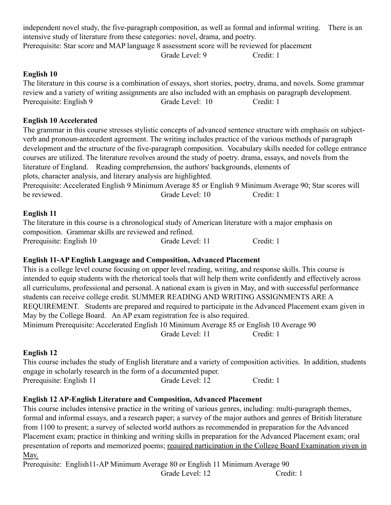independent novel study, the five-paragraph composition, as well as formal and informal writing. There is an intensive study of literature from these categories: novel, drama, and poetry. Prerequisite: Star score and MAP language 8 assessment score will be reviewed for placement Grade Level: 9 Credit: 1

#### **English 10**

The literature in this course is a combination of essays, short stories, poetry, drama, and novels. Some grammar review and a variety of writing assignments are also included with an emphasis on paragraph development. Prerequisite: English 9 Grade Level: 10 Credit: 1

#### **English 10 Accelerated**

The grammar in this course stresses stylistic concepts of advanced sentence structure with emphasis on subjectverb and pronoun-antecedent agreement. The writing includes practice of the various methods of paragraph development and the structure of the five-paragraph composition. Vocabulary skills needed for college entrance courses are utilized. The literature revolves around the study of poetry. drama, essays, and novels from the literature of England. Reading comprehension, the authors' backgrounds, elements of plots, character analysis, and literary analysis are highlighted.

Prerequisite: Accelerated English 9 Minimum Average 85 or English 9 Minimum Average 90; Star scores will be reviewed. The contract of the contract of the contract of the credit: 1 credit: 1

#### **English 11**

The literature in this course is a chronological study of American literature with a major emphasis on composition. Grammar skills are reviewed and refined. Prerequisite: English 10 Grade Level: 11 Credit: 1

#### **English 11-AP English Language and Composition, Advanced Placement**

This is a college level course focusing on upper level reading, writing, and response skills. This course is intended to equip students with the rhetorical tools that will help them write confidently and effectively across all curriculums, professional and personal. A national exam is given in May, and with successful performance students can receive college credit. SUMMER READING AND WRITING ASSIGNMENTS ARE A REQUIREMENT. Students are prepared and required to participate in the Advanced Placement exam given in May by the College Board. An AP exam registration fee is also required. Minimum Prerequisite: Accelerated English 10 Minimum Average 85 or English 10 Average 90 Grade Level: 11 Credit: 1

#### **English 12**

This course includes the study of English literature and a variety of composition activities. In addition, students engage in scholarly research in the form of a documented paper. Prerequisite: English 11 Grade Level: 12 Credit: 1

#### **English 12 AP-English Literature and Composition, Advanced Placement**

This course includes intensive practice in the writing of various genres, including: multi-paragraph themes, formal and informal essays, and a research paper; a survey of the major authors and genres of British literature from 1100 to present; a survey of selected world authors as recommended in preparation for the Advanced Placement exam; practice in thinking and writing skills in preparation for the Advanced Placement exam; oral presentation of reports and memorized poems; required participation in the College Board Examination given in May.

Prerequisite: English11-AP Minimum Average 80 or English 11 Minimum Average 90 Grade Level: 12 Credit: 1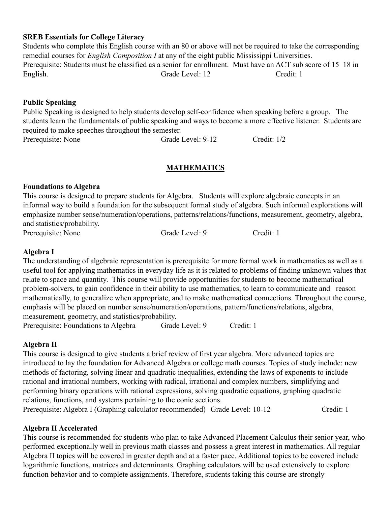#### **SREB Essentials for College Literacy**

Students who complete this English course with an 80 or above will not be required to take the corresponding remedial courses for *English Composition I* at any of the eight public Mississippi Universities. Prerequisite: Students must be classified as a senior for enrollment. Must have an ACT sub score of 15–18 in English. Grade Level: 12 Credit: 1

#### **Public Speaking**

Public Speaking is designed to help students develop self-confidence when speaking before a group. The students learn the fundamentals of public speaking and ways to become a more effective listener. Students are required to make speeches throughout the semester. Prerequisite: None Grade Level: 9-12 Credit: 1/2

#### **MATHEMATICS**

#### **Foundations to Algebra**

This course is designed to prepare students for Algebra. Students will explore algebraic concepts in an informal way to build a foundation for the subsequent formal study of algebra. Such informal explorations will emphasize number sense/numeration/operations, patterns/relations/functions, measurement, geometry, algebra, and statistics/probability.

Prerequisite: None Grade Level: 9 Credit: 1

#### **Algebra I**

The understanding of algebraic representation is prerequisite for more formal work in mathematics as well as a useful tool for applying mathematics in everyday life as it is related to problems of finding unknown values that relate to space and quantity. This course will provide opportunities for students to become mathematical problem-solvers, to gain confidence in their ability to use mathematics, to learn to communicate and reason mathematically, to generalize when appropriate, and to make mathematical connections. Throughout the course, emphasis will be placed on number sense/numeration/operations, pattern/functions/relations, algebra, measurement, geometry, and statistics/probability.

Prerequisite: Foundations to Algebra Grade Level: 9 Credit: 1

#### **Algebra II**

This course is designed to give students a brief review of first year algebra. More advanced topics are introduced to lay the foundation for Advanced Algebra or college math courses. Topics of study include: new methods of factoring, solving linear and quadratic inequalities, extending the laws of exponents to include rational and irrational numbers, working with radical, irrational and complex numbers, simplifying and performing binary operations with rational expressions, solving quadratic equations, graphing quadratic relations, functions, and systems pertaining to the conic sections.

Prerequisite: Algebra I (Graphing calculator recommended) Grade Level: 10-12 Credit: 1

#### **Algebra II Accelerated**

This course is recommended for students who plan to take Advanced Placement Calculus their senior year, who performed exceptionally well in previous math classes and possess a great interest in mathematics. All regular Algebra II topics will be covered in greater depth and at a faster pace. Additional topics to be covered include logarithmic functions, matrices and determinants. Graphing calculators will be used extensively to explore function behavior and to complete assignments. Therefore, students taking this course are strongly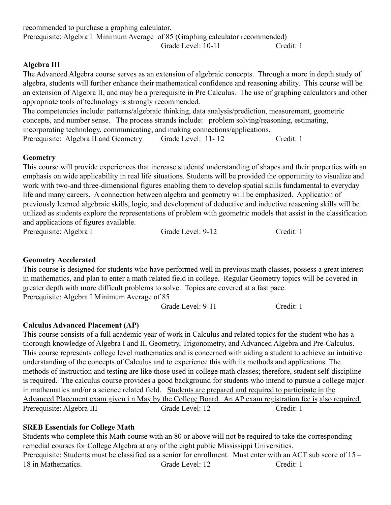| Prerequisite: Algebra I Minimum Average of 85 (Graphing calculator recommended)                                                                                                  |                    |                                                                                                                  |
|----------------------------------------------------------------------------------------------------------------------------------------------------------------------------------|--------------------|------------------------------------------------------------------------------------------------------------------|
|                                                                                                                                                                                  | Grade Level: 10-11 | Credit: 1                                                                                                        |
| Algebra III                                                                                                                                                                      |                    |                                                                                                                  |
| The Advanced Algebra course serves as an extension of algebraic concepts. Through a more in depth study of                                                                       |                    |                                                                                                                  |
|                                                                                                                                                                                  |                    | algebra, students will further enhance their mathematical confidence and reasoning ability. This course will be  |
|                                                                                                                                                                                  |                    | an extension of Algebra II, and may be a prerequisite in Pre Calculus. The use of graphing calculators and other |
| appropriate tools of technology is strongly recommended.                                                                                                                         |                    |                                                                                                                  |
| The competencies include: patterns/algebraic thinking, data analysis/prediction, measurement, geometric                                                                          |                    |                                                                                                                  |
| concepts, and number sense. The process strands include: problem solving/reasoning, estimating,<br>incorporating technology, communicating, and making connections/applications. |                    |                                                                                                                  |
| Prerequisite: Algebra II and Geometry                                                                                                                                            | Grade Level: 11-12 | Credit: 1                                                                                                        |

#### **Geometry**

This course will provide experiences that increase students' understanding of shapes and their properties with an emphasis on wide applicability in real life situations. Students will be provided the opportunity to visualize and work with two-and three-dimensional figures enabling them to develop spatial skills fundamental to everyday life and many careers. A connection between algebra and geometry will be emphasized. Application of previously learned algebraic skills, logic, and development of deductive and inductive reasoning skills will be utilized as students explore the representations of problem with geometric models that assist in the classification and applications of figures available.

Prerequisite: Algebra I Grade Level: 9-12 Credit: 1

#### **Geometry Accelerated**

This course is designed for students who have performed well in previous math classes, possess a great interest in mathematics, and plan to enter a math related field in college. Regular Geometry topics will be covered in greater depth with more difficult problems to solve. Topics are covered at a fast pace. Prerequisite: Algebra I Minimum Average of 85

Grade Level: 9-11 Credit: 1

#### **Calculus Advanced Placement (AP)**

recommended to purchase a graphing calculator.

This course consists of a full academic year of work in Calculus and related topics for the student who has a thorough knowledge of Algebra I and II, Geometry, Trigonometry, and Advanced Algebra and Pre-Calculus. This course represents college level mathematics and is concerned with aiding a student to achieve an intuitive understanding of the concepts of Calculus and to experience this with its methods and applications. The methods of instruction and testing are like those used in college math classes; therefore, student self-discipline is required. The calculus course provides a good background for students who intend to pursue a college major in mathematics and/or a science related field. Students are prepared and required to participate in the Advanced Placement exam given i n May by the College Board. An AP exam registration fee is also required. Prerequisite: Algebra III Grade Level: 12 Credit: 1

#### **SREB Essentials for College Math**

Students who complete this Math course with an 80 or above will not be required to take the corresponding remedial courses for College Algebra at any of the eight public Mississippi Universities. Prerequisite: Students must be classified as a senior for enrollment. Must enter with an ACT sub score of 15 – 18 in Mathematics. Grade Level: 12 Credit: 1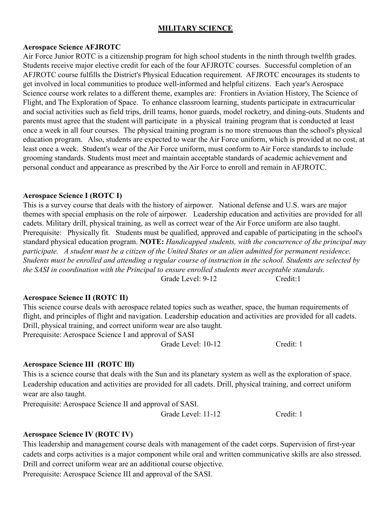#### **MILITARY SCIENCE**

#### **Aerospace Science AFJROTC**

Air Force Junior ROTC is a citizenship program for high school students in the ninth through twelfth grades. Students receive major elective credit for each of the four AFJROTC courses. Successful completion of an AFJROTC course fulfills the District's Physical Education requirement. AFJROTC encourages its students to get involved in local communities to produce well-informed and helpful citizens. Each year's Aerospace Science course work relates to a different theme, examples are: Frontiers in Aviation History, The Science of Flight, and The Exploration of Space. To enhance classroom learning, students participate in extracurricular and social activities such as field trips, drill teams, honor guards, model rocketry, and dining-outs. Students and parents must agree that the student will participate in a physical training program that is conducted at least once a week in all four courses. The physical training program is no more strenuous than the school's physical education program. Also, students are expected to wear the Air Force uniform, which is provided at no cost, at least once a week. Student's wear of the Air Force uniform, must conform to Air Force standards to include grooming standards. Students must meet and maintain acceptable standards of academic achievement and personal conduct and appearance as prescribed by the Air Force to enroll and remain in AFJROTC.

#### **Aerospace Science I (ROTC I)**

This is a survey course that deals with the history of airpower. National defense and U.S. wars are major themes with special emphasis on the role of airpower. Leadership education and activities are provided for all cadets. Military drill, physical training, as well as correct wear of the Air Force uniform are also taught. Prerequisite: Physically fit. Students must be qualified, approved and capable of participating in the school's standard physical education program. **NOTE:** *Handicapped students, with the concurrence of the principal may participate. A student must be a citizen of the United States or an alien admitted for permanent residence. Students must be enrolled and attending a regular course of instruction in the school. Students are selected by the SASI in coordination with the Principal to ensure enrolled students meet acceptable standards.* Grade Level: 9-12 Credit: 1

#### **Aerospace Science II (ROTC II)**

This science course deals with aerospace related topics such as weather, space, the human requirements of flight, and principles of flight and navigation. Leadership education and activities are provided for all cadets. Drill, physical training, and correct uniform wear are also taught. Prerequisite: Aerospace Science I and approval of SASI

Grade Level: 10-12 Credit: 1

#### **Aerospace Science III (ROTC Ill)**

This is a science course that deals with the Sun and its planetary system as well as the exploration of space. Leadership education and activities are provided for all cadets. Drill, physical training, and correct uniform wear are also taught.

Prerequisite: Aerospace Science II and approval of SASI.

Grade Level: 11-12 Credit: 1

#### **Aerospace Science IV (ROTC IV)**

This leadership and management course deals with management of the cadet corps. Supervision of first-year cadets and corps activities is a major component while oral and written communicative skills are also stressed. Drill and correct uniform wear are an additional course objective. Prerequisite: Aerospace Science III and approval of the SASI.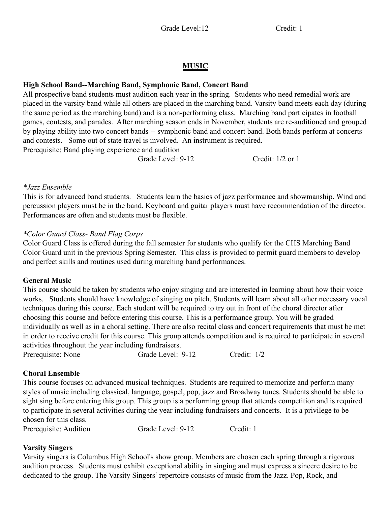### **MUSIC**

### **High School Band--Marching Band, Symphonic Band, Concert Band**

All prospective band students must audition each year in the spring. Students who need remedial work are placed in the varsity band while all others are placed in the marching band. Varsity band meets each day (during the same period as the marching band) and is a non-performing class. Marching band participates in football games, contests, and parades. After marching season ends in November, students are re-auditioned and grouped by playing ability into two concert bands -- symphonic band and concert band. Both bands perform at concerts and contests. Some out of state travel is involved. An instrument is required. Prerequisite: Band playing experience and audition

Grade Level: 9-12 Credit: 1/2 or 1

#### *\*Jazz Ensemble*

This is for advanced band students. Students learn the basics of jazz performance and showmanship. Wind and percussion players must be in the band. Keyboard and guitar players must have recommendation of the director. Performances are often and students must be flexible.

#### *\*Color Guard Class- Band Flag Corps*

Color Guard Class is offered during the fall semester for students who qualify for the CHS Marching Band Color Guard unit in the previous Spring Semester. This class is provided to permit guard members to develop and perfect skills and routines used during marching band performances.

#### **General Music**

This course should be taken by students who enjoy singing and are interested in learning about how their voice works. Students should have knowledge of singing on pitch. Students will learn about all other necessary vocal techniques during this course. Each student will be required to try out in front of the choral director after choosing this course and before entering this course. This is a performance group. You will be graded individually as well as in a choral setting. There are also recital class and concert requirements that must be met in order to receive credit for this course. This group attends competition and is required to participate in several activities throughout the year including fundraisers.

Prerequisite: None Grade Level: 9-12 Credit: 1/2

#### **Choral Ensemble**

This course focuses on advanced musical techniques. Students are required to memorize and perform many styles of music including classical, language, gospel, pop, jazz and Broadway tunes. Students should be able to sight sing before entering this group. This group is a performing group that attends competition and is required to participate in several activities during the year including fundraisers and concerts. It is a privilege to be chosen for this class.

Prerequisite: Audition Grade Level: 9-12 Credit: 1

#### **Varsity Singers**

Varsity singers is Columbus High School's show group. Members are chosen each spring through a rigorous audition process. Students must exhibit exceptional ability in singing and must express a sincere desire to be dedicated to the group. The Varsity Singers' repertoire consists of music from the Jazz. Pop, Rock, and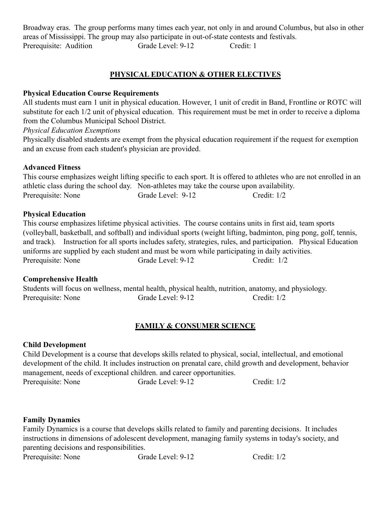Broadway eras. The group performs many times each year, not only in and around Columbus, but also in other areas of Mississippi. The group may also participate in out-of-state contests and festivals. Prerequisite: Audition Grade Level: 9-12 Credit: 1

# **PHYSICAL EDUCATION & OTHER ELECTIVES**

### **Physical Education Course Requirements**

All students must earn 1 unit in physical education. However, 1 unit of credit in Band, Frontline or ROTC will substitute for each 1/2 unit of physical education. This requirement must be met in order to receive a diploma from the Columbus Municipal School District.

### *Physical Education Exemptions*

Physically disabled students are exempt from the physical education requirement if the request for exemption and an excuse from each student's physician are provided.

# **Advanced Fitness**

This course emphasizes weight lifting specific to each sport. It is offered to athletes who are not enrolled in an athletic class during the school day. Non-athletes may take the course upon availability. Prerequisite: None Grade Level: 9-12 Credit: 1/2

# **Physical Education**

This course emphasizes lifetime physical activities. The course contains units in first aid, team sports (volleyball, basketball, and softball) and individual sports (weight lifting, badminton, ping pong, golf, tennis, and track). Instruction for all sports includes safety, strategies, rules, and participation. Physical Education uniforms are supplied by each student and must be worn while participating in daily activities. Prerequisite: None Grade Level: 9-12 Credit: 1/2

# **Comprehensive Health**

Students will focus on wellness, mental health, physical health, nutrition, anatomy, and physiology. Prerequisite: None Grade Level: 9-12 Credit: 1/2

# **FAMILY & CONSUMER SCIENCE**

# **Child Development**

Child Development is a course that develops skills related to physical, social, intellectual, and emotional development of the child. It includes instruction on prenatal care, child growth and development, behavior management, needs of exceptional children. and career opportunities.

Prerequisite: None Grade Level: 9-12 Credit: 1/2

# **Family Dynamics**

Family Dynamics is a course that develops skills related to family and parenting decisions. It includes instructions in dimensions of adolescent development, managing family systems in today's society, and parenting decisions and responsibilities.

| Prerequisite: None | Grade Level: 9-12 | Credit: $1/2$ |
|--------------------|-------------------|---------------|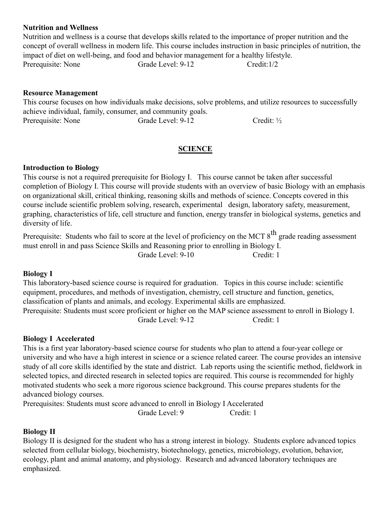#### **Nutrition and Wellness**

Nutrition and wellness is a course that develops skills related to the importance of proper nutrition and the concept of overall wellness in modern life. This course includes instruction in basic principles of nutrition, the impact of diet on well-being, and food and behavior management for a healthy lifestyle. Prerequisite: None Grade Level: 9-12 Credit:1/2

#### **Resource Management**

This course focuses on how individuals make decisions, solve problems, and utilize resources to successfully achieve individual, family, consumer, and community goals. Prerequisite: None Grade Level: 9-12 Credit: <sup>1/2</sup>

#### **SCIENCE**

#### **Introduction to Biology**

This course is not a required prerequisite for Biology I. This course cannot be taken after successful completion of Biology I. This course will provide students with an overview of basic Biology with an emphasis on organizational skill, critical thinking, reasoning skills and methods of science. Concepts covered in this course include scientific problem solving, research, experimental design, laboratory safety, measurement, graphing, characteristics of life, cell structure and function, energy transfer in biological systems, genetics and diversity of life.

Prerequisite: Students who fail to score at the level of proficiency on the MCT 8<sup>th</sup> grade reading assessment must enroll in and pass Science Skills and Reasoning prior to enrolling in Biology I.

Grade Level: 9-10 Credit: 1

#### **Biology I**

This laboratory-based science course is required for graduation. Topics in this course include: scientific equipment, procedures, and methods of investigation, chemistry, cell structure and function, genetics, classification of plants and animals, and ecology. Experimental skills are emphasized. Prerequisite: Students must score proficient or higher on the MAP science assessment to enroll in Biology I. Grade Level: 9-12 Credit: 1

#### **Biology I Accelerated**

This is a first year laboratory-based science course for students who plan to attend a four-year college or university and who have a high interest in science or a science related career. The course provides an intensive study of all core skills identified by the state and district. Lab reports using the scientific method, fieldwork in selected topics, and directed research in selected topics are required. This course is recommended for highly motivated students who seek a more rigorous science background. This course prepares students for the advanced biology courses.

Prerequisites: Students must score advanced to enroll in Biology I Accelerated Grade Level: 9 Credit: 1

#### **Biology II**

Biology II is designed for the student who has a strong interest in biology. Students explore advanced topics selected from cellular biology, biochemistry, biotechnology, genetics, microbiology, evolution, behavior, ecology, plant and animal anatomy, and physiology. Research and advanced laboratory techniques are emphasized.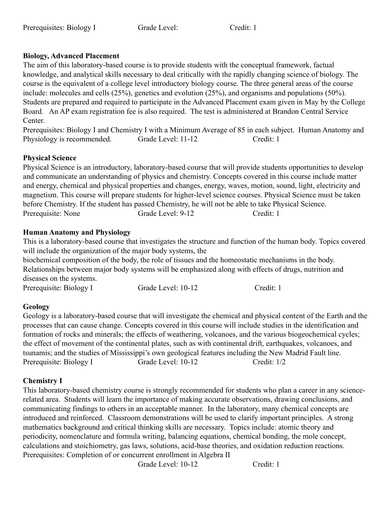#### **Biology, Advanced Placement**

The aim of this laboratory-based course is to provide students with the conceptual framework, factual knowledge, and analytical skills necessary to deal critically with the rapidly changing science of biology. The course is the equivalent of a college level introductory biology course. The three general areas of the course include: molecules and cells (25%), genetics and evolution (25%), and organisms and populations (50%). Students are prepared and required to participate in the Advanced Placement exam given in May by the College Board. An AP exam registration fee is also required. The test is administered at Brandon Central Service Center.

Prerequisites: Biology I and Chemistry I with a Minimum Average of 85 in each subject. Human Anatomy and Physiology is recommended. Grade Level: 11-12 Credit: 1

#### **Physical Science**

Physical Science is an introductory, laboratory-based course that will provide students opportunities to develop and communicate an understanding of physics and chemistry. Concepts covered in this course include matter and energy, chemical and physical properties and changes, energy, waves, motion, sound, light, electricity and magnetism. This course will prepare students for higher-level science courses. Physical Science must be taken before Chemistry. If the student has passed Chemistry, he will not be able to take Physical Science. Prerequisite: None Grade Level: 9-12 Credit: 1

#### **Human Anatomy and Physiology**

This is a laboratory-based course that investigates the structure and function of the human body. Topics covered will include the organization of the major body systems, the

biochemical composition of the body, the role of tissues and the homeostatic mechanisms in the body. Relationships between major body systems will be emphasized along with effects of drugs, nutrition and diseases on the systems.

| Prerequisite: Biology I | Grade Level: 10-12 | Credit: 1 |
|-------------------------|--------------------|-----------|
|-------------------------|--------------------|-----------|

#### **Geology**

Geology is a laboratory-based course that will investigate the chemical and physical content of the Earth and the processes that can cause change. Concepts covered in this course will include studies in the identification and formation of rocks and minerals; the effects of weathering, volcanoes, and the various biogeochemical cycles; the effect of movement of the continental plates, such as with continental drift, earthquakes, volcanoes, and tsunamis; and the studies of Mississippi's own geological features including the New Madrid Fault line. Prerequisite: Biology I Grade Level: 10-12 Credit: 1/2

#### **Chemistry I**

This laboratory-based chemistry course is strongly recommended for students who plan a career in any sciencerelated area. Students will learn the importance of making accurate observations, drawing conclusions, and communicating findings to others in an acceptable manner. In the laboratory, many chemical concepts are introduced and reinforced. Classroom demonstrations will be used to clarify important principles. A strong mathematics background and critical thinking skills are necessary. Topics include: atomic theory and periodicity, nomenclature and formula writing, balancing equations, chemical bonding, the mole concept, calculations and stoichiometry, gas laws, solutions, acid-base theories, and oxidation reduction reactions. Prerequisites: Completion of or concurrent enrollment in Algebra II

Grade Level: 10-12 Credit: 1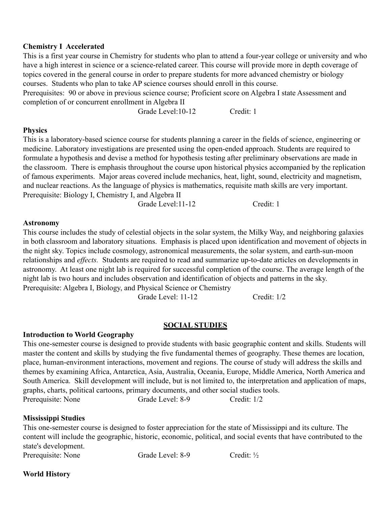#### **Chemistry I Accelerated**

This is a first year course in Chemistry for students who plan to attend a four-year college or university and who have a high interest in science or a science-related career. This course will provide more in depth coverage of topics covered in the general course in order to prepare students for more advanced chemistry or biology courses. Students who plan to take AP science courses should enroll in this course. Prerequisites: 90 or above in previous science course; Proficient score on Algebra I state Assessment and

completion of or concurrent enrollment in Algebra II

Grade Level:10-12 Credit: 1

#### **Physics**

This is a laboratory-based science course for students planning a career in the fields of science, engineering or medicine. Laboratory investigations are presented using the open-ended approach. Students are required to formulate a hypothesis and devise a method for hypothesis testing after preliminary observations are made in the classroom. There is emphasis throughout the course upon historical physics accompanied by the replication of famous experiments. Major areas covered include mechanics, heat, light, sound, electricity and magnetism, and nuclear reactions. As the language of physics is mathematics, requisite math skills are very important. Prerequisite: Biology I, Chemistry I, and Algebra II

Grade Level:11-12 Credit: 1

#### **Astronomy**

This course includes the study of celestial objects in the solar system, the Milky Way, and neighboring galaxies in both classroom and laboratory situations. Emphasis is placed upon identification and movement of objects in the night sky. Topics include cosmology, astronomical measurements, the solar system, and earth-sun-moon relationships and *effects.* Students are required to read and summarize up-to-date articles on developments in astronomy. At least one night lab is required for successful completion of the course. The average length of the night lab is two hours and includes observation and identification of objects and patterns in the sky. Prerequisite: Algebra I, Biology, and Physical Science or Chemistry

Grade Level: 11-12 Credit: 1/2

#### **SOCIAL STUDIES**

#### **Introduction to World Geography**

This one-semester course is designed to provide students with basic geographic content and skills. Students will master the content and skills by studying the five fundamental themes of geography. These themes are location, place, human-environment interactions, movement and regions. The course of study will address the skills and themes by examining Africa, Antarctica, Asia, Australia, Oceania, Europe, Middle America, North America and South America. Skill development will include, but is not limited to, the interpretation and application of maps, graphs, charts, political cartoons, primary documents, and other social studies tools. Prerequisite: None Grade Level: 8-9 Credit: 1/2

#### **Mississippi Studies**

This one-semester course is designed to foster appreciation for the state of Mississippi and its culture. The content will include the geographic, historic, economic, political, and social events that have contributed to the state's development.

Prerequisite: None Grade Level: 8-9 Credit: <sup>1</sup>/<sub>2</sub>

#### **World History**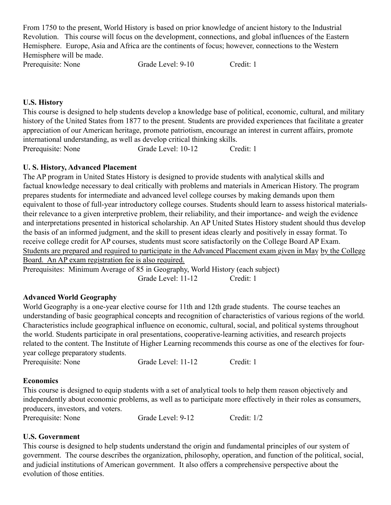From 1750 to the present, World History is based on prior knowledge of ancient history to the Industrial Revolution. This course will focus on the development, connections, and global influences of the Eastern Hemisphere. Europe, Asia and Africa are the continents of focus; however, connections to the Western Hemisphere will be made.

Prerequisite: None Grade Level: 9-10 Credit: 1

#### **U.S. History**

This course is designed to help students develop a knowledge base of political, economic, cultural, and military history of the United States from 1877 to the present. Students are provided experiences that facilitate a greater appreciation of our American heritage, promote patriotism, encourage an interest in current affairs, promote international understanding, as well as develop critical thinking skills. Prerequisite: None Grade Level: 10-12 Credit: 1

#### **U. S. History, Advanced Placement**

The AP program in United States History is designed to provide students with analytical skills and factual knowledge necessary to deal critically with problems and materials in American History. The program prepares students for intermediate and advanced level college courses by making demands upon them equivalent to those of full-year introductory college courses. Students should learn to assess historical materialstheir relevance to a given interpretive problem, their reliability, and their importance- and weigh the evidence and interpretations presented in historical scholarship. An AP United States History student should thus develop the basis of an informed judgment, and the skill to present ideas clearly and positively in essay format. To receive college credit for AP courses, students must score satisfactorily on the College Board AP Exam. Students are prepared and required to participate in the Advanced Placement exam given in May by the College Board. An AP exam registration fee is also required.

Prerequisites: Minimum Average of 85 in Geography, World History (each subject) Grade Level: 11-12 Credit: 1

#### **Advanced World Geography**

World Geography is a one-year elective course for 11th and 12th grade students. The course teaches an understanding of basic geographical concepts and recognition of characteristics of various regions of the world. Characteristics include geographical influence on economic, cultural, social, and political systems throughout the world. Students participate in oral presentations, cooperative-learning activities, and research projects related to the content. The Institute of Higher Learning recommends this course as one of the electives for fouryear college preparatory students.

Prerequisite: None Grade Level: 11-12 Credit: 1

#### **Economics**

This course is designed to equip students with a set of analytical tools to help them reason objectively and independently about economic problems, as well as to participate more effectively in their roles as consumers, producers, investors, and voters.

Prerequisite: None Grade Level: 9-12 Credit: 1/2

#### **U.S. Government**

This course is designed to help students understand the origin and fundamental principles of our system of government. The course describes the organization, philosophy, operation, and function of the political, social, and judicial institutions of American government. It also offers a comprehensive perspective about the evolution of those entities.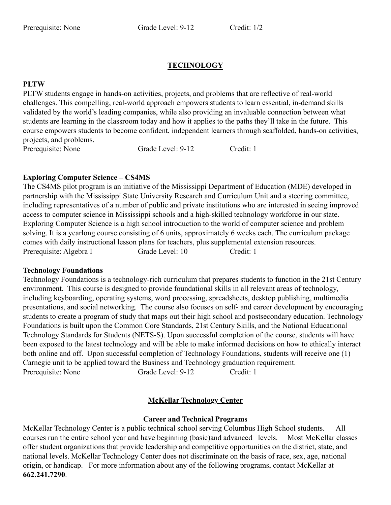### **TECHNOLOGY**

#### **PLTW**

PLTW students engage in hands-on activities, projects, and problems that are reflective of real-world challenges. This compelling, real-world approach empowers students to learn essential, in-demand skills validated by the world's leading companies, while also providing an invaluable connection between what students are learning in the classroom today and how it applies to the paths they'll take in the future. This course empowers students to become confident, independent learners through scaffolded, hands-on activities, projects, and problems.

Prerequisite: None Grade Level: 9-12 Credit: 1

#### **Exploring Computer Science – CS4MS**

The CS4MS pilot program is an initiative of the Mississippi Department of Education (MDE) developed in partnership with the Mississippi State University Research and Curriculum Unit and a steering committee, including representatives of a number of public and private institutions who are interested in seeing improved access to computer science in Mississippi schools and a high-skilled technology workforce in our state. Exploring Computer Science is a high school introduction to the world of computer science and problem solving. It is a yearlong course consisting of 6 units, approximately 6 weeks each. The curriculum package comes with daily instructional lesson plans for teachers, plus supplemental extension resources. Prerequisite: Algebra I Grade Level: 10 Credit: 1

#### **Technology Foundations**

Technology Foundations is a technology-rich curriculum that prepares students to function in the 21st Century environment. This course is designed to provide foundational skills in all relevant areas of technology, including keyboarding, operating systems, word processing, spreadsheets, desktop publishing, multimedia presentations, and social networking. The course also focuses on self- and career development by encouraging students to create a program of study that maps out their high school and postsecondary education. Technology Foundations is built upon the Common Core Standards, 21st Century Skills, and the National Educational Technology Standards for Students (NETS-S). Upon successful completion of the course, students will have been exposed to the latest technology and will be able to make informed decisions on how to ethically interact both online and off. Upon successful completion of Technology Foundations, students will receive one (1) Carnegie unit to be applied toward the Business and Technology graduation requirement. Prerequisite: None Grade Level: 9-12 Credit: 1

#### **McKellar Technology Center**

#### **Career and Technical Programs**

McKellar Technology Center is a public technical school serving Columbus High School students. All courses run the entire school year and have beginning (basic)and advanced levels. Most McKellar classes offer student organizations that provide leadership and competitive opportunities on the district, state, and national levels. McKellar Technology Center does not discriminate on the basis of race, sex, age, national origin, or handicap. For more information about any of the following programs, contact McKellar at **662.241.7290**.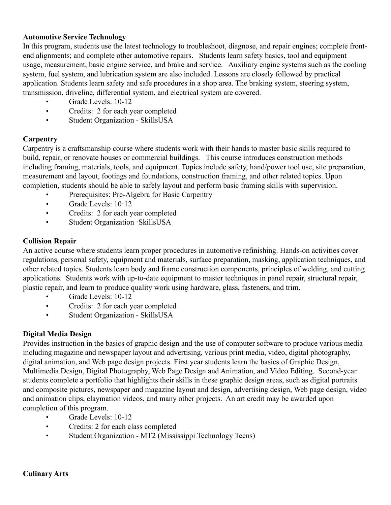#### **Automotive Service Technology**

In this program, students use the latest technology to troubleshoot, diagnose, and repair engines; complete frontend alignments; and complete other automotive repairs. Students learn safety basics, tool and equipment usage, measurement, basic engine service, and brake and service. Auxiliary engine systems such as the cooling system, fuel system, and lubrication system are also included. Lessons are closely followed by practical application. Students learn safety and safe procedures in a shop area. The braking system, steering system, transmission, driveline, differential system, and electrical system are covered.

- Grade Levels: 10-12
- Credits: 2 for each year completed
- Student Organization SkillsUSA

#### **Carpentry**

Carpentry is a craftsmanship course where students work with their hands to master basic skills required to build, repair, or renovate houses or commercial buildings. This course introduces construction methods including framing, materials, tools, and equipment. Topics include safety, hand/power tool use, site preparation, measurement and layout, footings and foundations, construction framing, and other related topics. Upon completion, students should be able to safely layout and perform basic framing skills with supervision.

- Prerequisites: Pre-Algebra for Basic Carpentry
- Grade Levels:  $10.12$
- Credits: 2 for each year completed
- Student Organization ·SkillsUSA

#### **Collision Repair**

An active course where students learn proper procedures in automotive refinishing. Hands-on activities cover regulations, personal safety, equipment and materials, surface preparation, masking, application techniques, and other related topics. Students learn body and frame construction components, principles of welding, and cutting applications. Students work with up-to-date equipment to master techniques in panel repair, structural repair, plastic repair, and learn to produce quality work using hardware, glass, fasteners, and trim.

- Grade Levels: 10-12
- Credits: 2 for each year completed
- Student Organization SkillsUSA

#### **Digital Media Design**

Provides instruction in the basics of graphic design and the use of computer software to produce various media including magazine and newspaper layout and advertising, various print media, video, digital photography, digital animation, and Web page design projects. First year students learn the basics of Graphic Design, Multimedia Design, Digital Photography, Web Page Design and Animation, and Video Editing. Second-year students complete a portfolio that highlights their skills in these graphic design areas, such as digital portraits and composite pictures, newspaper and magazine layout and design, advertising design, Web page design, video and animation clips, claymation videos, and many other projects. An art credit may be awarded upon completion of this program.

- Grade Levels: 10-12
- Credits: 2 for each class completed
- Student Organization MT2 (Mississippi Technology Teens)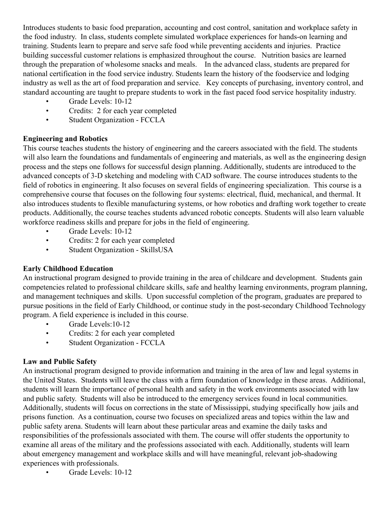Introduces students to basic food preparation, accounting and cost control, sanitation and workplace safety in the food industry. In class, students complete simulated workplace experiences for hands-on learning and training. Students learn to prepare and serve safe food while preventing accidents and injuries. Practice building successful customer relations is emphasized throughout the course. Nutrition basics are learned through the preparation of wholesome snacks and meals. In the advanced class, students are prepared for national certification in the food service industry. Students learn the history of the foodservice and lodging industry as well as the art of food preparation and service. Key concepts of purchasing, inventory control, and standard accounting are taught to prepare students to work in the fast paced food service hospitality industry.

- Grade Levels: 10-12
- Credits: 2 for each year completed
- Student Organization FCCLA

#### **Engineering and Robotics**

This course teaches students the history of engineering and the careers associated with the field. The students will also learn the foundations and fundamentals of engineering and materials, as well as the engineering design process and the steps one follows for successful design planning. Additionally, students are introduced to the advanced concepts of 3-D sketching and modeling with CAD software. The course introduces students to the field of robotics in engineering. It also focuses on several fields of engineering specialization. This course is a comprehensive course that focuses on the following four systems: electrical, fluid, mechanical, and thermal. It also introduces students to flexible manufacturing systems, or how robotics and drafting work together to create products. Additionally, the course teaches students advanced robotic concepts. Students will also learn valuable workforce readiness skills and prepare for jobs in the field of engineering.

- Grade Levels: 10-12
- Credits: 2 for each year completed
- Student Organization SkillsUSA

#### **Early Childhood Education**

An instructional program designed to provide training in the area of childcare and development. Students gain competencies related to professional childcare skills, safe and healthy learning environments, program planning, and management techniques and skills. Upon successful completion of the program, graduates are prepared to pursue positions in the field of Early Childhood, or continue study in the post-secondary Childhood Technology program. A field experience is included in this course.

- Grade Levels: 10-12
- Credits: 2 for each year completed
- Student Organization FCCLA

#### **Law and Public Safety**

An instructional program designed to provide information and training in the area of law and legal systems in the United States. Students will leave the class with a firm foundation of knowledge in these areas. Additional, students will learn the importance of personal health and safety in the work environments associated with law and public safety. Students will also be introduced to the emergency services found in local communities. Additionally, students will focus on corrections in the state of Mississippi, studying specifically how jails and prisons function. As a continuation, course two focuses on specialized areas and topics within the law and public safety arena. Students will learn about these particular areas and examine the daily tasks and responsibilities of the professionals associated with them. The course will offer students the opportunity to examine all areas of the military and the professions associated with each. Additionally, students will learn about emergency management and workplace skills and will have meaningful, relevant job-shadowing experiences with professionals.

Grade Levels: 10-12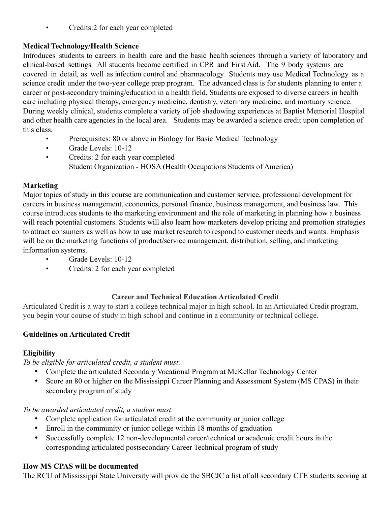• Credits:2 for each year completed

# **Medical Technology/Health Science**

Introduces students to careers in health care and the basic health sciences through a variety of laboratory and clinical-based settings. All students become certified in CPR and First Aid. The 9 body systems are covered in detail, as well as infection control and pharmacology. Students may use Medical Technology as a science credit under the two-year college prep program. The advanced class is for students planning to enter a career or post-secondary training/education in a health field. Students are exposed to diverse careers in health care including physical therapy, emergency medicine, dentistry, veterinary medicine, and mortuary science. During weekly clinical, students complete a variety of job shadowing experiences at Baptist Memorial Hospital and other health care agencies in the local area. Students may be awarded a science credit upon completion of this class.

- Prerequisites: 80 or above in Biology for Basic Medical Technology
- Grade Levels: 10-12
- Credits: 2 for each year completed Student Organization - HOSA (Health Occupations Students of America)

# **Marketing**

Major topics of study in this course are communication and customer service, professional development for careers in business management, economics, personal finance, business management, and business law. This course introduces students to the marketing environment and the role of marketing in planning how a business will reach potential customers. Students will also learn how marketers develop pricing and promotion strategies to attract consumers as well as how to use market research to respond to customer needs and wants. Emphasis will be on the marketing functions of product/service management, distribution, selling, and marketing information systems.

- Grade Levels: 10-12
- Credits: 2 for each year completed

# **Career and Technical Education Articulated Credit**

Articulated Credit is a way to start a college technical major in high school. In an Articulated Credit program, you begin your course of study in high school and continue in a community or technical college.

# **Guidelines on Articulated Credit**

# **Eligibility**

*To be eligible for articulated credit, a student must:*

- Complete the articulated Secondary Vocational Program at McKellar Technology Center
- Score an 80 or higher on the Mississippi Career Planning and Assessment System (MS CPAS) in their secondary program of study

*To be awarded articulated credit, a student must:*

- Complete application for articulated credit at the community or junior college
- Enroll in the community or junior college within 18 months of graduation
- Successfully complete 12 non-developmental career/technical or academic credit hours in the corresponding articulated postsecondary Career Technical program of study

# **How MS CPAS will be documented**

The RCU of Mississippi State University will provide the SBCJC a list of all secondary CTE students scoring at